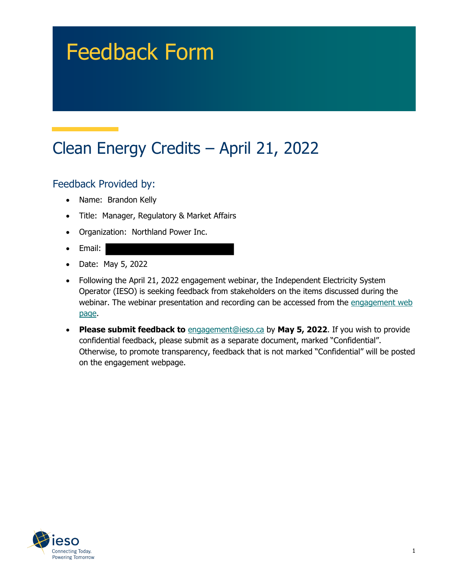# Feedback Form

## Clean Energy Credits – April 21, 2022

#### Feedback Provided by:

- Name: Brandon Kelly
- Title: Manager, Regulatory & Market Affairs
- Organization: Northland Power Inc.
- Email:
- Date: May 5, 2022
- Following the April 21, 2022 engagement webinar, the Independent Electricity System Operator (IESO) is seeking feedback from stakeholders on the items discussed during the webinar. The webinar presentation and recording can be accessed from the engagement web [page.](https://www.ieso.ca/en/Sector-Participants/Engagement-Initiatives/Engagements/Clean-Energy-Credits)
- **Please submit feedback to** [engagement@ieso.ca](mailto:engagement@ieso.ca) by **May 5, 2022**. If you wish to provide confidential feedback, please submit as a separate document, marked "Confidential". Otherwise, to promote transparency, feedback that is not marked "Confidential" will be posted on the engagement webpage.

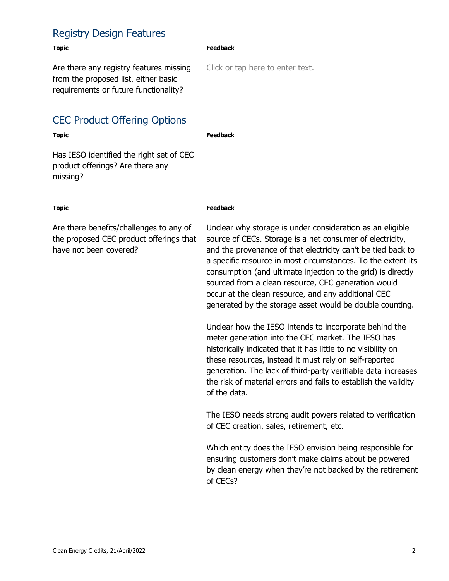#### Registry Design Features

| <b>Topic</b>                                                                                                             | <b>Feedback</b>                  |
|--------------------------------------------------------------------------------------------------------------------------|----------------------------------|
| Are there any registry features missing<br>from the proposed list, either basic<br>requirements or future functionality? | Click or tap here to enter text. |

### CEC Product Offering Options

| <b>Topic</b>                                                                             | <b>Feedback</b> |
|------------------------------------------------------------------------------------------|-----------------|
| Has IESO identified the right set of CEC<br>product offerings? Are there any<br>missing? |                 |

| <b>Topic</b>                                                                                                 | <b>Feedback</b>                                                                                                                                                                                                                                                                                                                                                                                                                                                                                  |
|--------------------------------------------------------------------------------------------------------------|--------------------------------------------------------------------------------------------------------------------------------------------------------------------------------------------------------------------------------------------------------------------------------------------------------------------------------------------------------------------------------------------------------------------------------------------------------------------------------------------------|
| Are there benefits/challenges to any of<br>the proposed CEC product offerings that<br>have not been covered? | Unclear why storage is under consideration as an eligible<br>source of CECs. Storage is a net consumer of electricity,<br>and the provenance of that electricity can't be tied back to<br>a specific resource in most circumstances. To the extent its<br>consumption (and ultimate injection to the grid) is directly<br>sourced from a clean resource, CEC generation would<br>occur at the clean resource, and any additional CEC<br>generated by the storage asset would be double counting. |
|                                                                                                              | Unclear how the IESO intends to incorporate behind the<br>meter generation into the CEC market. The IESO has<br>historically indicated that it has little to no visibility on<br>these resources, instead it must rely on self-reported<br>generation. The lack of third-party verifiable data increases<br>the risk of material errors and fails to establish the validity<br>of the data.                                                                                                      |
|                                                                                                              | The IESO needs strong audit powers related to verification<br>of CEC creation, sales, retirement, etc.                                                                                                                                                                                                                                                                                                                                                                                           |
|                                                                                                              | Which entity does the IESO envision being responsible for<br>ensuring customers don't make claims about be powered<br>by clean energy when they're not backed by the retirement<br>of CECs?                                                                                                                                                                                                                                                                                                      |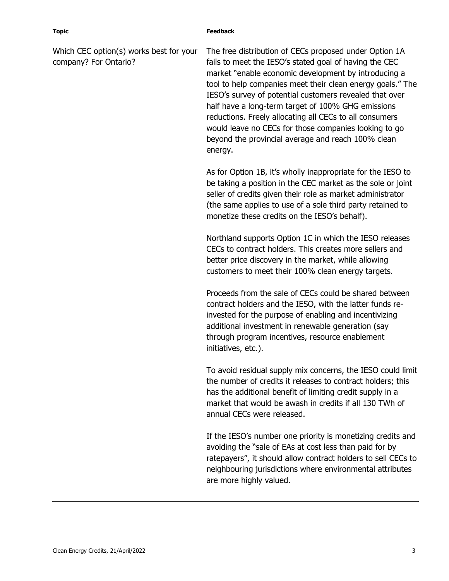| <b>Topic</b>                                                     | <b>Feedback</b>                                                                                                                                                                                                                                                                                                                                                                                                                                                                                                                              |
|------------------------------------------------------------------|----------------------------------------------------------------------------------------------------------------------------------------------------------------------------------------------------------------------------------------------------------------------------------------------------------------------------------------------------------------------------------------------------------------------------------------------------------------------------------------------------------------------------------------------|
| Which CEC option(s) works best for your<br>company? For Ontario? | The free distribution of CECs proposed under Option 1A<br>fails to meet the IESO's stated goal of having the CEC<br>market "enable economic development by introducing a<br>tool to help companies meet their clean energy goals." The<br>IESO's survey of potential customers revealed that over<br>half have a long-term target of 100% GHG emissions<br>reductions. Freely allocating all CECs to all consumers<br>would leave no CECs for those companies looking to go<br>beyond the provincial average and reach 100% clean<br>energy. |
|                                                                  | As for Option 1B, it's wholly inappropriate for the IESO to<br>be taking a position in the CEC market as the sole or joint<br>seller of credits given their role as market administrator<br>(the same applies to use of a sole third party retained to<br>monetize these credits on the IESO's behalf).                                                                                                                                                                                                                                      |
|                                                                  | Northland supports Option 1C in which the IESO releases<br>CECs to contract holders. This creates more sellers and<br>better price discovery in the market, while allowing<br>customers to meet their 100% clean energy targets.                                                                                                                                                                                                                                                                                                             |
|                                                                  | Proceeds from the sale of CECs could be shared between<br>contract holders and the IESO, with the latter funds re-<br>invested for the purpose of enabling and incentivizing<br>additional investment in renewable generation (say<br>through program incentives, resource enablement<br>initiatives, etc.).                                                                                                                                                                                                                                 |
|                                                                  | To avoid residual supply mix concerns, the IESO could limit<br>the number of credits it releases to contract holders; this<br>has the additional benefit of limiting credit supply in a<br>market that would be awash in credits if all 130 TWh of<br>annual CECs were released.                                                                                                                                                                                                                                                             |
|                                                                  | If the IESO's number one priority is monetizing credits and<br>avoiding the "sale of EAs at cost less than paid for by<br>ratepayers", it should allow contract holders to sell CECs to<br>neighbouring jurisdictions where environmental attributes<br>are more highly valued.                                                                                                                                                                                                                                                              |